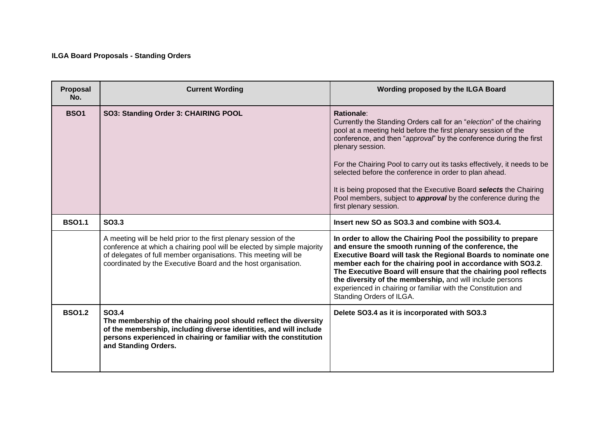## **ILGA Board Proposals - Standing Orders**

| Proposal<br>No. | <b>Current Wording</b>                                                                                                                                                                                                                                                         | Wording proposed by the ILGA Board                                                                                                                                                                                                                                                                                                                                                                                                                                                                                                                            |
|-----------------|--------------------------------------------------------------------------------------------------------------------------------------------------------------------------------------------------------------------------------------------------------------------------------|---------------------------------------------------------------------------------------------------------------------------------------------------------------------------------------------------------------------------------------------------------------------------------------------------------------------------------------------------------------------------------------------------------------------------------------------------------------------------------------------------------------------------------------------------------------|
| <b>BSO1</b>     | SO3: Standing Order 3: CHAIRING POOL                                                                                                                                                                                                                                           | Rationale:<br>Currently the Standing Orders call for an "election" of the chairing<br>pool at a meeting held before the first plenary session of the<br>conference, and then "approval" by the conference during the first<br>plenary session.<br>For the Chairing Pool to carry out its tasks effectively, it needs to be<br>selected before the conference in order to plan ahead.<br>It is being proposed that the Executive Board selects the Chairing<br>Pool members, subject to <i>approval</i> by the conference during the<br>first plenary session. |
| <b>BSO1.1</b>   | SO3.3                                                                                                                                                                                                                                                                          | Insert new SO as SO3.3 and combine with SO3.4.                                                                                                                                                                                                                                                                                                                                                                                                                                                                                                                |
|                 | A meeting will be held prior to the first plenary session of the<br>conference at which a chairing pool will be elected by simple majority<br>of delegates of full member organisations. This meeting will be<br>coordinated by the Executive Board and the host organisation. | In order to allow the Chairing Pool the possibility to prepare<br>and ensure the smooth running of the conference, the<br>Executive Board will task the Regional Boards to nominate one<br>member each for the chairing pool in accordance with SO3.2.<br>The Executive Board will ensure that the chairing pool reflects<br>the diversity of the membership, and will include persons<br>experienced in chairing or familiar with the Constitution and<br>Standing Orders of ILGA.                                                                           |
| <b>BSO1.2</b>   | SO3.4<br>The membership of the chairing pool should reflect the diversity<br>of the membership, including diverse identities, and will include<br>persons experienced in chairing or familiar with the constitution<br>and Standing Orders.                                    | Delete SO3.4 as it is incorporated with SO3.3                                                                                                                                                                                                                                                                                                                                                                                                                                                                                                                 |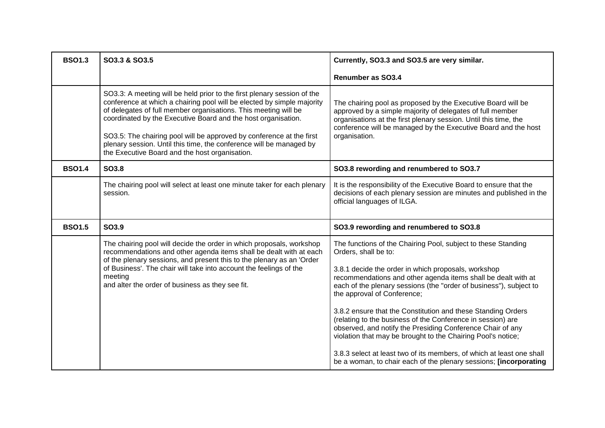| <b>BSO1.3</b> | SO3.3 & SO3.5                                                                                                                                                                                                                                                                                                                                                                                                                                                                          | Currently, SO3.3 and SO3.5 are very similar.                                                                                                                                                                                                                                                                                                                                                                                                                                                                                                                                                                                                                                                                                  |
|---------------|----------------------------------------------------------------------------------------------------------------------------------------------------------------------------------------------------------------------------------------------------------------------------------------------------------------------------------------------------------------------------------------------------------------------------------------------------------------------------------------|-------------------------------------------------------------------------------------------------------------------------------------------------------------------------------------------------------------------------------------------------------------------------------------------------------------------------------------------------------------------------------------------------------------------------------------------------------------------------------------------------------------------------------------------------------------------------------------------------------------------------------------------------------------------------------------------------------------------------------|
|               |                                                                                                                                                                                                                                                                                                                                                                                                                                                                                        | <b>Renumber as SO3.4</b>                                                                                                                                                                                                                                                                                                                                                                                                                                                                                                                                                                                                                                                                                                      |
|               | SO3.3: A meeting will be held prior to the first plenary session of the<br>conference at which a chairing pool will be elected by simple majority<br>of delegates of full member organisations. This meeting will be<br>coordinated by the Executive Board and the host organisation.<br>SO3.5: The chairing pool will be approved by conference at the first<br>plenary session. Until this time, the conference will be managed by<br>the Executive Board and the host organisation. | The chairing pool as proposed by the Executive Board will be<br>approved by a simple majority of delegates of full member<br>organisations at the first plenary session. Until this time, the<br>conference will be managed by the Executive Board and the host<br>organisation.                                                                                                                                                                                                                                                                                                                                                                                                                                              |
| <b>BSO1.4</b> | SO3.8                                                                                                                                                                                                                                                                                                                                                                                                                                                                                  | SO3.8 rewording and renumbered to SO3.7                                                                                                                                                                                                                                                                                                                                                                                                                                                                                                                                                                                                                                                                                       |
|               | The chairing pool will select at least one minute taker for each plenary<br>session.                                                                                                                                                                                                                                                                                                                                                                                                   | It is the responsibility of the Executive Board to ensure that the<br>decisions of each plenary session are minutes and published in the<br>official languages of ILGA.                                                                                                                                                                                                                                                                                                                                                                                                                                                                                                                                                       |
| <b>BSO1.5</b> | SO3.9                                                                                                                                                                                                                                                                                                                                                                                                                                                                                  | SO3.9 rewording and renumbered to SO3.8                                                                                                                                                                                                                                                                                                                                                                                                                                                                                                                                                                                                                                                                                       |
|               | The chairing pool will decide the order in which proposals, workshop<br>recommendations and other agenda items shall be dealt with at each<br>of the plenary sessions, and present this to the plenary as an 'Order<br>of Business'. The chair will take into account the feelings of the<br>meeting<br>and alter the order of business as they see fit.                                                                                                                               | The functions of the Chairing Pool, subject to these Standing<br>Orders, shall be to:<br>3.8.1 decide the order in which proposals, workshop<br>recommendations and other agenda items shall be dealt with at<br>each of the plenary sessions (the "order of business"), subject to<br>the approval of Conference;<br>3.8.2 ensure that the Constitution and these Standing Orders<br>(relating to the business of the Conference in session) are<br>observed, and notify the Presiding Conference Chair of any<br>violation that may be brought to the Chairing Pool's notice;<br>3.8.3 select at least two of its members, of which at least one shall<br>be a woman, to chair each of the plenary sessions; [incorporating |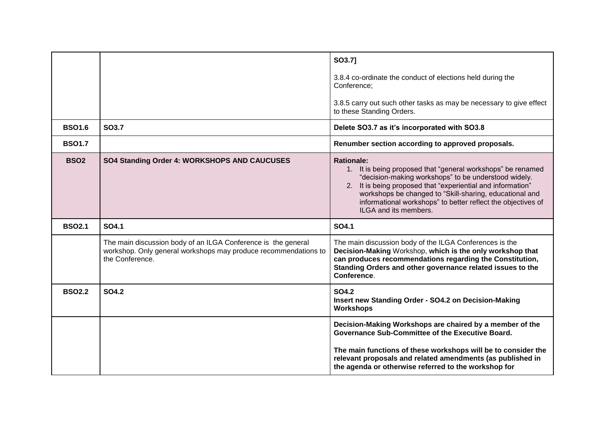|               |                                                                                                                                                     | SO3.7]                                                                                                                                                                                                                                                                                                                                                      |
|---------------|-----------------------------------------------------------------------------------------------------------------------------------------------------|-------------------------------------------------------------------------------------------------------------------------------------------------------------------------------------------------------------------------------------------------------------------------------------------------------------------------------------------------------------|
|               |                                                                                                                                                     | 3.8.4 co-ordinate the conduct of elections held during the<br>Conference:                                                                                                                                                                                                                                                                                   |
|               |                                                                                                                                                     | 3.8.5 carry out such other tasks as may be necessary to give effect<br>to these Standing Orders.                                                                                                                                                                                                                                                            |
| <b>BSO1.6</b> | <b>SO3.7</b>                                                                                                                                        | Delete SO3.7 as it's incorporated with SO3.8                                                                                                                                                                                                                                                                                                                |
| <b>BSO1.7</b> |                                                                                                                                                     | Renumber section according to approved proposals.                                                                                                                                                                                                                                                                                                           |
| <b>BSO2</b>   | SO4 Standing Order 4: WORKSHOPS AND CAUCUSES                                                                                                        | <b>Rationale:</b><br>1. It is being proposed that "general workshops" be renamed<br>"decision-making workshops" to be understood widely.<br>2. It is being proposed that "experiential and information"<br>workshops be changed to "Skill-sharing, educational and<br>informational workshops" to better reflect the objectives of<br>ILGA and its members. |
| <b>BSO2.1</b> | SO4.1                                                                                                                                               | SO4.1                                                                                                                                                                                                                                                                                                                                                       |
|               | The main discussion body of an ILGA Conference is the general<br>workshop. Only general workshops may produce recommendations to<br>the Conference. | The main discussion body of the ILGA Conferences is the<br>Decision-Making Workshop, which is the only workshop that<br>can produces recommendations regarding the Constitution,<br>Standing Orders and other governance related issues to the<br>Conference.                                                                                               |
| <b>BSO2.2</b> | <b>SO4.2</b>                                                                                                                                        | <b>SO4.2</b><br>Insert new Standing Order - SO4.2 on Decision-Making<br>Workshops                                                                                                                                                                                                                                                                           |
|               |                                                                                                                                                     | Decision-Making Workshops are chaired by a member of the<br>Governance Sub-Committee of the Executive Board.                                                                                                                                                                                                                                                |
|               |                                                                                                                                                     | The main functions of these workshops will be to consider the<br>relevant proposals and related amendments (as published in<br>the agenda or otherwise referred to the workshop for                                                                                                                                                                         |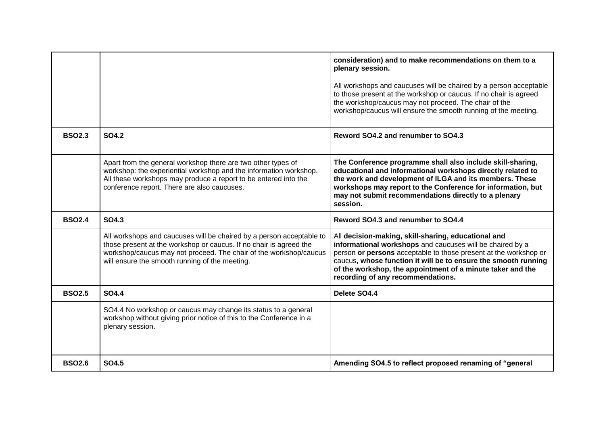|               |                                                                                                                                                                                                                                                                   | consideration) and to make recommendations on them to a<br>plenary session.<br>All workshops and caucuses will be chaired by a person acceptable<br>to those present at the workshop or caucus. If no chair is agreed<br>the workshop/caucus may not proceed. The chair of the<br>workshop/caucus will ensure the smooth running of the meeting. |
|---------------|-------------------------------------------------------------------------------------------------------------------------------------------------------------------------------------------------------------------------------------------------------------------|--------------------------------------------------------------------------------------------------------------------------------------------------------------------------------------------------------------------------------------------------------------------------------------------------------------------------------------------------|
| <b>BSO2.3</b> | <b>SO4.2</b>                                                                                                                                                                                                                                                      | Reword SO4.2 and renumber to SO4.3                                                                                                                                                                                                                                                                                                               |
|               | Apart from the general workshop there are two other types of<br>workshop: the experiential workshop and the information workshop.<br>All these workshops may produce a report to be entered into the<br>conference report. There are also caucuses.               | The Conference programme shall also include skill-sharing,<br>educational and informational workshops directly related to<br>the work and development of ILGA and its members. These<br>workshops may report to the Conference for information, but<br>may not submit recommendations directly to a plenary<br>session.                          |
| <b>BSO2.4</b> | SO4.3                                                                                                                                                                                                                                                             | Reword SO4.3 and renumber to SO4.4                                                                                                                                                                                                                                                                                                               |
|               | All workshops and caucuses will be chaired by a person acceptable to<br>those present at the workshop or caucus. If no chair is agreed the<br>workshop/caucus may not proceed. The chair of the workshop/caucus<br>will ensure the smooth running of the meeting. | All decision-making, skill-sharing, educational and<br>informational workshops and caucuses will be chaired by a<br>person or persons acceptable to those present at the workshop or<br>caucus, whose function it will be to ensure the smooth running<br>of the workshop, the appointment of a minute taker and the                             |
|               |                                                                                                                                                                                                                                                                   | recording of any recommendations.                                                                                                                                                                                                                                                                                                                |
| <b>BSO2.5</b> | <b>SO4.4</b>                                                                                                                                                                                                                                                      | Delete SO4.4                                                                                                                                                                                                                                                                                                                                     |
|               | SO4.4 No workshop or caucus may change its status to a general<br>workshop without giving prior notice of this to the Conference in a<br>plenary session.                                                                                                         |                                                                                                                                                                                                                                                                                                                                                  |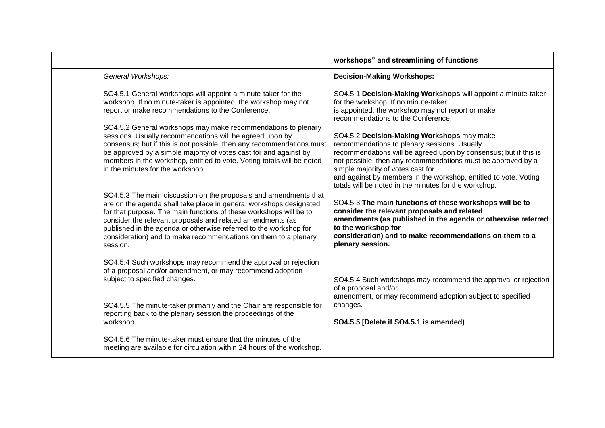|                                                                                                                                                                                                                                                                                                                                                                                                                                | workshops" and streamlining of functions                                                                                                                                                                                                                                                                                                                                                         |
|--------------------------------------------------------------------------------------------------------------------------------------------------------------------------------------------------------------------------------------------------------------------------------------------------------------------------------------------------------------------------------------------------------------------------------|--------------------------------------------------------------------------------------------------------------------------------------------------------------------------------------------------------------------------------------------------------------------------------------------------------------------------------------------------------------------------------------------------|
| General Workshops:                                                                                                                                                                                                                                                                                                                                                                                                             | <b>Decision-Making Workshops:</b>                                                                                                                                                                                                                                                                                                                                                                |
| SO4.5.1 General workshops will appoint a minute-taker for the<br>workshop. If no minute-taker is appointed, the workshop may not<br>report or make recommendations to the Conference.                                                                                                                                                                                                                                          | SO4.5.1 Decision-Making Workshops will appoint a minute-taker<br>for the workshop. If no minute-taker<br>is appointed, the workshop may not report or make<br>recommendations to the Conference.                                                                                                                                                                                                 |
| SO4.5.2 General workshops may make recommendations to plenary<br>sessions. Usually recommendations will be agreed upon by<br>consensus; but if this is not possible, then any recommendations must<br>be approved by a simple majority of votes cast for and against by<br>members in the workshop, entitled to vote. Voting totals will be noted<br>in the minutes for the workshop.                                          | SO4.5.2 Decision-Making Workshops may make<br>recommendations to plenary sessions. Usually<br>recommendations will be agreed upon by consensus; but if this is<br>not possible, then any recommendations must be approved by a<br>simple majority of votes cast for<br>and against by members in the workshop, entitled to vote. Voting<br>totals will be noted in the minutes for the workshop. |
| SO4.5.3 The main discussion on the proposals and amendments that<br>are on the agenda shall take place in general workshops designated<br>for that purpose. The main functions of these workshops will be to<br>consider the relevant proposals and related amendments (as<br>published in the agenda or otherwise referred to the workshop for<br>consideration) and to make recommendations on them to a plenary<br>session. | SO4.5.3 The main functions of these workshops will be to<br>consider the relevant proposals and related<br>amendments (as published in the agenda or otherwise referred<br>to the workshop for<br>consideration) and to make recommendations on them to a<br>plenary session.                                                                                                                    |
| SO4.5.4 Such workshops may recommend the approval or rejection<br>of a proposal and/or amendment, or may recommend adoption<br>subject to specified changes.                                                                                                                                                                                                                                                                   | SO4.5.4 Such workshops may recommend the approval or rejection<br>of a proposal and/or<br>amendment, or may recommend adoption subject to specified                                                                                                                                                                                                                                              |
| SO4.5.5 The minute-taker primarily and the Chair are responsible for<br>reporting back to the plenary session the proceedings of the<br>workshop.                                                                                                                                                                                                                                                                              | changes.<br>SO4.5.5 [Delete if SO4.5.1 is amended)                                                                                                                                                                                                                                                                                                                                               |
| SO4.5.6 The minute-taker must ensure that the minutes of the<br>meeting are available for circulation within 24 hours of the workshop.                                                                                                                                                                                                                                                                                         |                                                                                                                                                                                                                                                                                                                                                                                                  |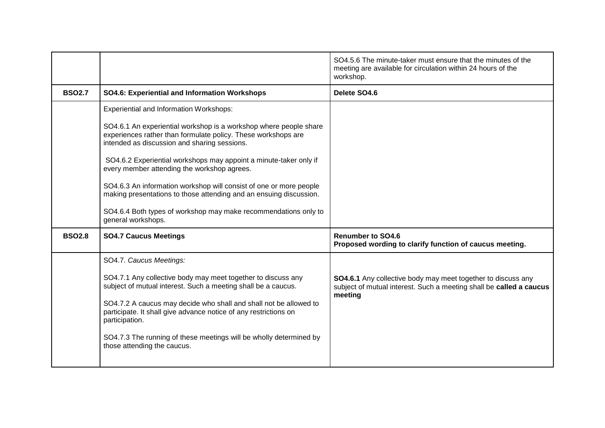|               |                                                                                                                                                                                    | SO4.5.6 The minute-taker must ensure that the minutes of the<br>meeting are available for circulation within 24 hours of the<br>workshop.      |
|---------------|------------------------------------------------------------------------------------------------------------------------------------------------------------------------------------|------------------------------------------------------------------------------------------------------------------------------------------------|
| <b>BSO2.7</b> | <b>SO4.6: Experiential and Information Workshops</b>                                                                                                                               | Delete SO4.6                                                                                                                                   |
|               | <b>Experiential and Information Workshops:</b>                                                                                                                                     |                                                                                                                                                |
|               | SO4.6.1 An experiential workshop is a workshop where people share<br>experiences rather than formulate policy. These workshops are<br>intended as discussion and sharing sessions. |                                                                                                                                                |
|               | SO4.6.2 Experiential workshops may appoint a minute-taker only if<br>every member attending the workshop agrees.                                                                   |                                                                                                                                                |
|               | SO4.6.3 An information workshop will consist of one or more people<br>making presentations to those attending and an ensuing discussion.                                           |                                                                                                                                                |
|               | SO4.6.4 Both types of workshop may make recommendations only to<br>general workshops.                                                                                              |                                                                                                                                                |
| <b>BSO2.8</b> | <b>SO4.7 Caucus Meetings</b>                                                                                                                                                       | <b>Renumber to SO4.6</b><br>Proposed wording to clarify function of caucus meeting.                                                            |
|               | SO4.7. Caucus Meetings:                                                                                                                                                            |                                                                                                                                                |
|               | SO4.7.1 Any collective body may meet together to discuss any<br>subject of mutual interest. Such a meeting shall be a caucus.                                                      | SO4.6.1 Any collective body may meet together to discuss any<br>subject of mutual interest. Such a meeting shall be called a caucus<br>meeting |
|               | SO4.7.2 A caucus may decide who shall and shall not be allowed to<br>participate. It shall give advance notice of any restrictions on<br>participation.                            |                                                                                                                                                |
|               | SO4.7.3 The running of these meetings will be wholly determined by<br>those attending the caucus.                                                                                  |                                                                                                                                                |
|               |                                                                                                                                                                                    |                                                                                                                                                |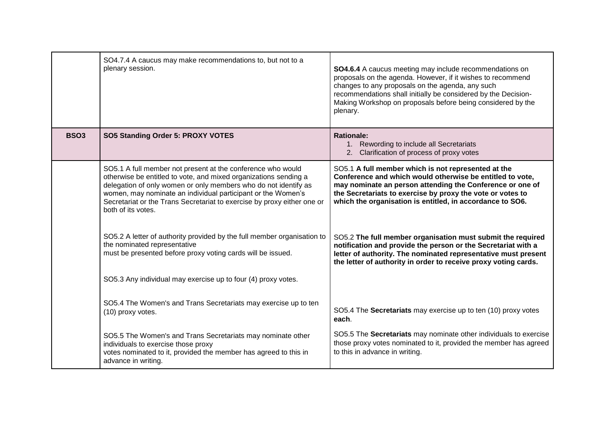|             | SO4.7.4 A caucus may make recommendations to, but not to a<br>plenary session.                                                                                                                                                                                                                                                                                      | SO4.6.4 A caucus meeting may include recommendations on<br>proposals on the agenda. However, if it wishes to recommend<br>changes to any proposals on the agenda, any such<br>recommendations shall initially be considered by the Decision-<br>Making Workshop on proposals before being considered by the<br>plenary. |
|-------------|---------------------------------------------------------------------------------------------------------------------------------------------------------------------------------------------------------------------------------------------------------------------------------------------------------------------------------------------------------------------|-------------------------------------------------------------------------------------------------------------------------------------------------------------------------------------------------------------------------------------------------------------------------------------------------------------------------|
| <b>BSO3</b> | SO5 Standing Order 5: PROXY VOTES                                                                                                                                                                                                                                                                                                                                   | <b>Rationale:</b><br>1. Rewording to include all Secretariats<br>2. Clarification of process of proxy votes                                                                                                                                                                                                             |
|             | SO5.1 A full member not present at the conference who would<br>otherwise be entitled to vote, and mixed organizations sending a<br>delegation of only women or only members who do not identify as<br>women, may nominate an individual participant or the Women's<br>Secretariat or the Trans Secretariat to exercise by proxy either one or<br>both of its votes. | SO5.1 A full member which is not represented at the<br>Conference and which would otherwise be entitled to vote,<br>may nominate an person attending the Conference or one of<br>the Secretariats to exercise by proxy the vote or votes to<br>which the organisation is entitled, in accordance to SO6.                |
|             | SO5.2 A letter of authority provided by the full member organisation to<br>the nominated representative<br>must be presented before proxy voting cards will be issued.                                                                                                                                                                                              | SO5.2 The full member organisation must submit the required<br>notification and provide the person or the Secretariat with a<br>letter of authority. The nominated representative must present<br>the letter of authority in order to receive proxy voting cards.                                                       |
|             | SO5.3 Any individual may exercise up to four (4) proxy votes.                                                                                                                                                                                                                                                                                                       |                                                                                                                                                                                                                                                                                                                         |
|             | SO5.4 The Women's and Trans Secretariats may exercise up to ten<br>(10) proxy votes.                                                                                                                                                                                                                                                                                | SO5.4 The Secretariats may exercise up to ten (10) proxy votes<br>each.                                                                                                                                                                                                                                                 |
|             | SO5.5 The Women's and Trans Secretariats may nominate other<br>individuals to exercise those proxy<br>votes nominated to it, provided the member has agreed to this in<br>advance in writing.                                                                                                                                                                       | SO5.5 The Secretariats may nominate other individuals to exercise<br>those proxy votes nominated to it, provided the member has agreed<br>to this in advance in writing.                                                                                                                                                |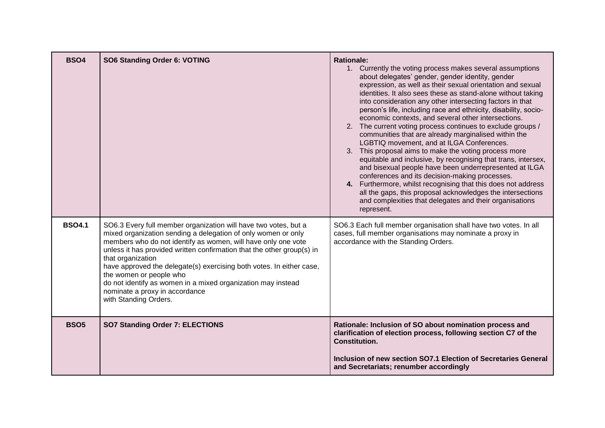| <b>BSO4</b>   | SO6 Standing Order 6: VOTING                                                                                                                                                                                                                                                                                                                                                                                                                                                                                                   | <b>Rationale:</b><br>1. Currently the voting process makes several assumptions<br>about delegates' gender, gender identity, gender<br>expression, as well as their sexual orientation and sexual<br>identities. It also sees these as stand-alone without taking<br>into consideration any other intersecting factors in that<br>person's life, including race and ethnicity, disability, socio-<br>economic contexts, and several other intersections.<br>2. The current voting process continues to exclude groups /<br>communities that are already marginalised within the<br>LGBTIQ movement, and at ILGA Conferences.<br>3. This proposal aims to make the voting process more<br>equitable and inclusive, by recognising that trans, intersex,<br>and bisexual people have been underrepresented at ILGA<br>conferences and its decision-making processes.<br>4. Furthermore, whilst recognising that this does not address<br>all the gaps, this proposal acknowledges the intersections<br>and complexities that delegates and their organisations<br>represent. |
|---------------|--------------------------------------------------------------------------------------------------------------------------------------------------------------------------------------------------------------------------------------------------------------------------------------------------------------------------------------------------------------------------------------------------------------------------------------------------------------------------------------------------------------------------------|---------------------------------------------------------------------------------------------------------------------------------------------------------------------------------------------------------------------------------------------------------------------------------------------------------------------------------------------------------------------------------------------------------------------------------------------------------------------------------------------------------------------------------------------------------------------------------------------------------------------------------------------------------------------------------------------------------------------------------------------------------------------------------------------------------------------------------------------------------------------------------------------------------------------------------------------------------------------------------------------------------------------------------------------------------------------------|
| <b>BSO4.1</b> | SO6.3 Every full member organization will have two votes, but a<br>mixed organization sending a delegation of only women or only<br>members who do not identify as women, will have only one vote<br>unless it has provided written confirmation that the other group(s) in<br>that organization<br>have approved the delegate(s) exercising both votes. In either case,<br>the women or people who<br>do not identify as women in a mixed organization may instead<br>nominate a proxy in accordance<br>with Standing Orders. | SO6.3 Each full member organisation shall have two votes. In all<br>cases, full member organisations may nominate a proxy in<br>accordance with the Standing Orders.                                                                                                                                                                                                                                                                                                                                                                                                                                                                                                                                                                                                                                                                                                                                                                                                                                                                                                      |
| <b>BSO5</b>   | SO7 Standing Order 7: ELECTIONS                                                                                                                                                                                                                                                                                                                                                                                                                                                                                                | Rationale: Inclusion of SO about nomination process and<br>clarification of election process, following section C7 of the<br><b>Constitution.</b><br>Inclusion of new section SO7.1 Election of Secretaries General<br>and Secretariats; renumber accordingly                                                                                                                                                                                                                                                                                                                                                                                                                                                                                                                                                                                                                                                                                                                                                                                                             |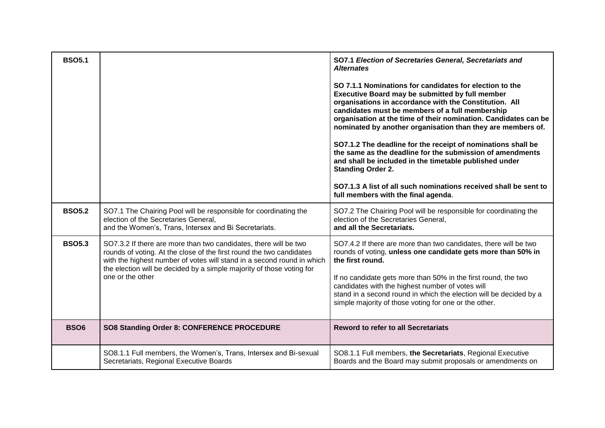| <b>BSO5.1</b> |                                                                                                                                                                                                                                                                                                                 | SO7.1 Election of Secretaries General, Secretariats and<br><b>Alternates</b><br>SO 7.1.1 Nominations for candidates for election to the<br>Executive Board may be submitted by full member<br>organisations in accordance with the Constitution. All<br>candidates must be members of a full membership<br>organisation at the time of their nomination. Candidates can be<br>nominated by another organisation than they are members of.<br>SO7.1.2 The deadline for the receipt of nominations shall be<br>the same as the deadline for the submission of amendments<br>and shall be included in the timetable published under<br><b>Standing Order 2.</b><br>SO7.1.3 A list of all such nominations received shall be sent to<br>full members with the final agenda. |
|---------------|-----------------------------------------------------------------------------------------------------------------------------------------------------------------------------------------------------------------------------------------------------------------------------------------------------------------|-------------------------------------------------------------------------------------------------------------------------------------------------------------------------------------------------------------------------------------------------------------------------------------------------------------------------------------------------------------------------------------------------------------------------------------------------------------------------------------------------------------------------------------------------------------------------------------------------------------------------------------------------------------------------------------------------------------------------------------------------------------------------|
| <b>BSO5.2</b> | SO7.1 The Chairing Pool will be responsible for coordinating the<br>election of the Secretaries General,<br>and the Women's, Trans, Intersex and Bi Secretariats.                                                                                                                                               | SO7.2 The Chairing Pool will be responsible for coordinating the<br>election of the Secretaries General,<br>and all the Secretariats.                                                                                                                                                                                                                                                                                                                                                                                                                                                                                                                                                                                                                                   |
| <b>BSO5.3</b> | SO7.3.2 If there are more than two candidates, there will be two<br>rounds of voting. At the close of the first round the two candidates<br>with the highest number of votes will stand in a second round in which<br>the election will be decided by a simple majority of those voting for<br>one or the other | SO7.4.2 If there are more than two candidates, there will be two<br>rounds of voting, unless one candidate gets more than 50% in<br>the first round.<br>If no candidate gets more than 50% in the first round, the two<br>candidates with the highest number of votes will<br>stand in a second round in which the election will be decided by a<br>simple majority of those voting for one or the other.                                                                                                                                                                                                                                                                                                                                                               |
| <b>BSO6</b>   | SO8 Standing Order 8: CONFERENCE PROCEDURE                                                                                                                                                                                                                                                                      | <b>Reword to refer to all Secretariats</b>                                                                                                                                                                                                                                                                                                                                                                                                                                                                                                                                                                                                                                                                                                                              |
|               | SO8.1.1 Full members, the Women's, Trans, Intersex and Bi-sexual<br>Secretariats, Regional Executive Boards                                                                                                                                                                                                     | SO8.1.1 Full members, the Secretariats, Regional Executive<br>Boards and the Board may submit proposals or amendments on                                                                                                                                                                                                                                                                                                                                                                                                                                                                                                                                                                                                                                                |